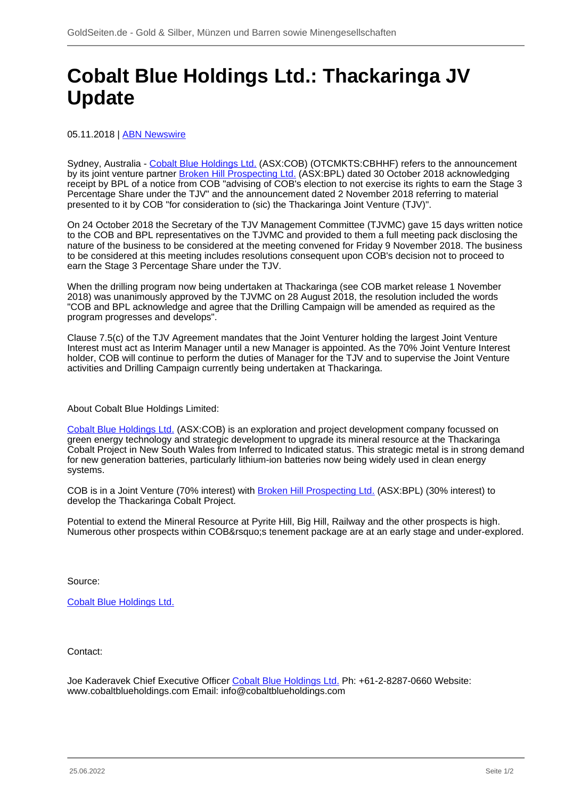## **Cobalt Blue Holdings Ltd.: Thackaringa JV Update**

## 05.11.2018 | [ABN Newswire](/profil/222--ABN-Newswire)

Sydney, Australia - [Cobalt Blue Holdings Ltd.](/minen/3343--Cobalt-Blue-Holdings-Ltd) (ASX:COB) (OTCMKTS:CBHHF) refers to the announcement by its joint venture partner [Broken Hill Prospecting Ltd.](/minen/3312--American-Rare-Earths-Ltd) (ASX:BPL) dated 30 October 2018 acknowledging receipt by BPL of a notice from COB "advising of COB's election to not exercise its rights to earn the Stage 3 Percentage Share under the TJV" and the announcement dated 2 November 2018 referring to material presented to it by COB "for consideration to (sic) the Thackaringa Joint Venture (TJV)".

On 24 October 2018 the Secretary of the TJV Management Committee (TJVMC) gave 15 days written notice to the COB and BPL representatives on the TJVMC and provided to them a full meeting pack disclosing the nature of the business to be considered at the meeting convened for Friday 9 November 2018. The business to be considered at this meeting includes resolutions consequent upon COB's decision not to proceed to earn the Stage 3 Percentage Share under the TJV.

When the drilling program now being undertaken at Thackaringa (see COB market release 1 November 2018) was unanimously approved by the TJVMC on 28 August 2018, the resolution included the words "COB and BPL acknowledge and agree that the Drilling Campaign will be amended as required as the program progresses and develops".

Clause 7.5(c) of the TJV Agreement mandates that the Joint Venturer holding the largest Joint Venture Interest must act as Interim Manager until a new Manager is appointed. As the 70% Joint Venture Interest holder, COB will continue to perform the duties of Manager for the TJV and to supervise the Joint Venture activities and Drilling Campaign currently being undertaken at Thackaringa.

About Cobalt Blue Holdings Limited:

[Cobalt Blue Holdings Ltd.](/minen/3343--Cobalt-Blue-Holdings-Ltd) (ASX:COB) is an exploration and project development company focussed on green energy technology and strategic development to upgrade its mineral resource at the Thackaringa Cobalt Project in New South Wales from Inferred to Indicated status. This strategic metal is in strong demand for new generation batteries, particularly lithium-ion batteries now being widely used in clean energy systems.

COB is in a Joint Venture (70% interest) with [Broken Hill Prospecting Ltd.](/minen/3312--American-Rare-Earths-Ltd) (ASX:BPL) (30% interest) to develop the Thackaringa Cobalt Project.

Potential to extend the Mineral Resource at Pyrite Hill, Big Hill, Railway and the other prospects is high. Numerous other prospects within COB' stenement package are at an early stage and under-explored.

Source:

[Cobalt Blue Holdings Ltd.](/minen/3343--Cobalt-Blue-Holdings-Ltd)

Contact:

Joe Kaderavek Chief Executive Officer [Cobalt Blue Holdings Ltd.](/minen/3343--Cobalt-Blue-Holdings-Ltd) Ph: +61-2-8287-0660 Website: www.cobaltblueholdings.com Email: info@cobaltblueholdings.com